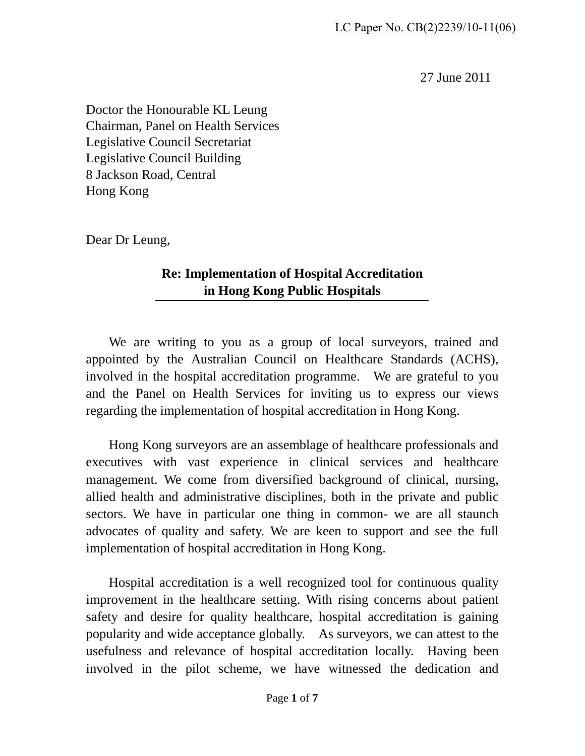27 June 2011

Doctor the Honourable KL Leung Chairman, Panel on Health Services Legislative Council Secretariat Legislative Council Building 8 Jackson Road, Central Hong Kong

Dear Dr Leung,

## **Re: Implementation of Hospital Accreditation in Hong Kong Public Hospitals**

We are writing to you as a group of local surveyors, trained and appointed by the Australian Council on Healthcare Standards (ACHS), involved in the hospital accreditation programme. We are grateful to you and the Panel on Health Services for inviting us to express our views regarding the implementation of hospital accreditation in Hong Kong.

Hong Kong surveyors are an assemblage of healthcare professionals and executives with vast experience in clinical services and healthcare management. We come from diversified background of clinical, nursing, allied health and administrative disciplines, both in the private and public sectors. We have in particular one thing in common- we are all staunch advocates of quality and safety. We are keen to support and see the full implementation of hospital accreditation in Hong Kong.

Hospital accreditation is a well recognized tool for continuous quality improvement in the healthcare setting. With rising concerns about patient safety and desire for quality healthcare, hospital accreditation is gaining popularity and wide acceptance globally. As surveyors, we can attest to the usefulness and relevance of hospital accreditation locally. Having been involved in the pilot scheme, we have witnessed the dedication and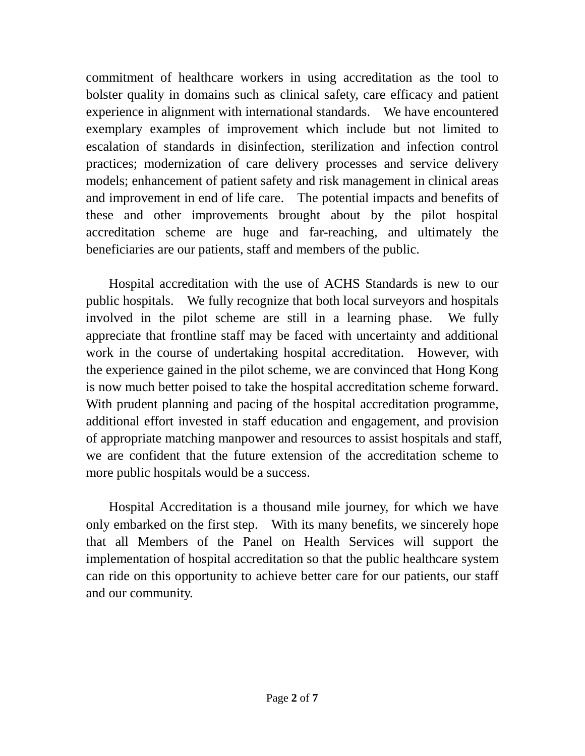commitment of healthcare workers in using accreditation as the tool to bolster quality in domains such as clinical safety, care efficacy and patient experience in alignment with international standards. We have encountered exemplary examples of improvement which include but not limited to escalation of standards in disinfection, sterilization and infection control practices; modernization of care delivery processes and service delivery models; enhancement of patient safety and risk management in clinical areas and improvement in end of life care. The potential impacts and benefits of these and other improvements brought about by the pilot hospital accreditation scheme are huge and far-reaching, and ultimately the beneficiaries are our patients, staff and members of the public.

Hospital accreditation with the use of ACHS Standards is new to our public hospitals. We fully recognize that both local surveyors and hospitals involved in the pilot scheme are still in a learning phase. We fully appreciate that frontline staff may be faced with uncertainty and additional work in the course of undertaking hospital accreditation. However, with the experience gained in the pilot scheme, we are convinced that Hong Kong is now much better poised to take the hospital accreditation scheme forward. With prudent planning and pacing of the hospital accreditation programme, additional effort invested in staff education and engagement, and provision of appropriate matching manpower and resources to assist hospitals and staff, we are confident that the future extension of the accreditation scheme to more public hospitals would be a success.

Hospital Accreditation is a thousand mile journey, for which we have only embarked on the first step. With its many benefits, we sincerely hope that all Members of the Panel on Health Services will support the implementation of hospital accreditation so that the public healthcare system can ride on this opportunity to achieve better care for our patients, our staff and our community.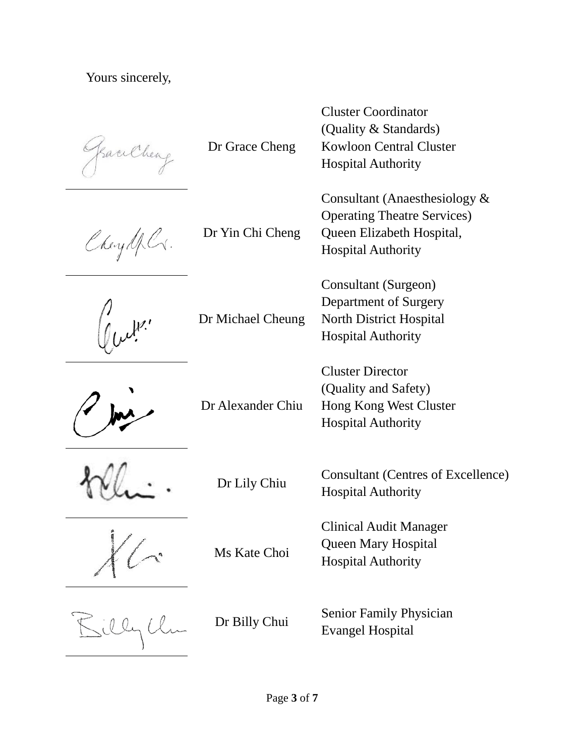Yours sincerely,

SaciCheag

Dr Grace Cheng

Cheydel.

Dr Yin Chi Cheng



Dr Michael Cheung



Dr Alexander Chiu





Ms Kate Choi

Cluster Coordinator (Quality & Standards) Kowloon Central Cluster Hospital Authority

Consultant (Anaesthesiology & Operating Theatre Services) Queen Elizabeth Hospital, Hospital Authority

Consultant (Surgeon) Department of Surgery North District Hospital Hospital Authority

Cluster Director (Quality and Safety) Hong Kong West Cluster Hospital Authority

Dr Lily Chiu Consultant (Centres of Excellence) Hospital Authority

> Clinical Audit Manager Queen Mary Hospital Hospital Authority

Dr Billy Chui Senior Family Physician Evangel Hospital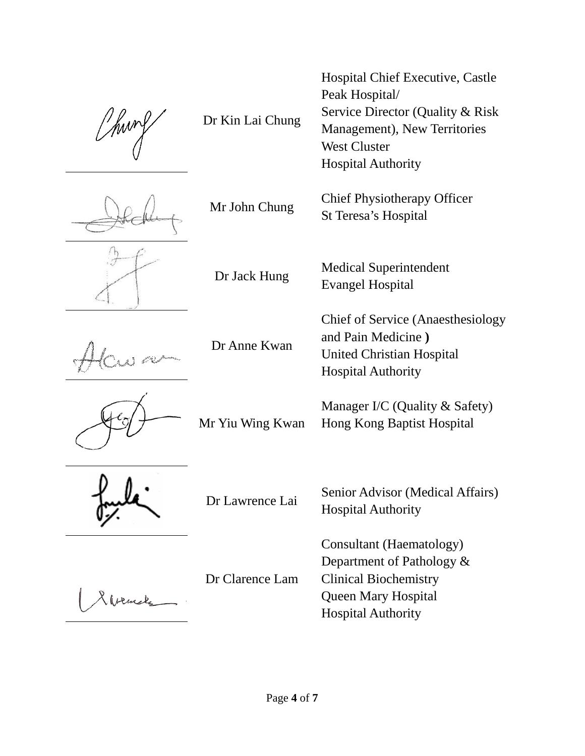Dr Kin Lai Chung







Dr Anne Kwan



Mr Yiu Wing Kwan



Dr Clarence Lam

Hospital Chief Executive, Castle Peak Hospital/ Service Director (Quality & Risk Management), New Territories West Cluster Hospital Authority

Mr John Chung Chief Physiotherapy Officer St Teresa's Hospital

Dr Jack Hung Medical Superintendent Evangel Hospital

> Chief of Service (Anaesthesiology and Pain Medicine **)** United Christian Hospital Hospital Authority

Manager I/C (Quality & Safety) Hong Kong Baptist Hospital

Dr Lawrence Lai Senior Advisor (Medical Affairs) Hospital Authority

> Consultant (Haematology) Department of Pathology & Clinical Biochemistry Queen Mary Hospital Hospital Authority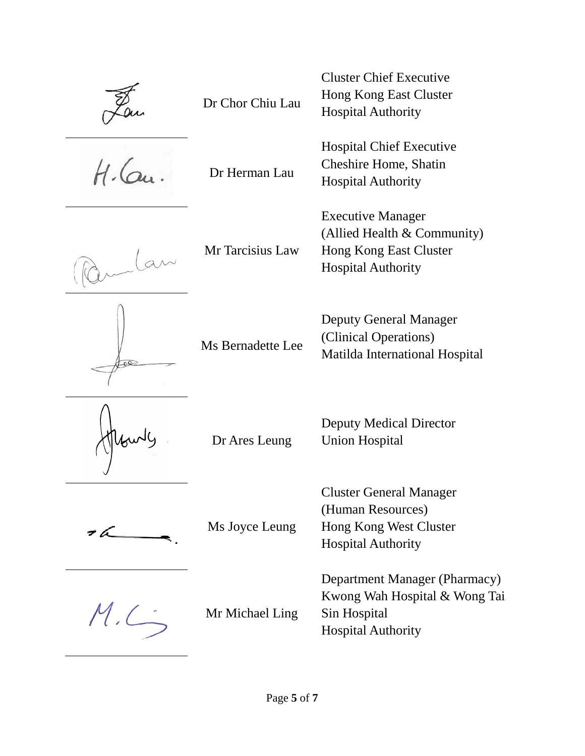Dr Chor Chiu Lau

 $46$ 

Dr Herman Lau

Mr Tarcisius Law





Ms Bernadette Lee

(Clinical Operations) Matilda International Hospital

Cluster Chief Executive Hong Kong East Cluster

Hospital Chief Executive Cheshire Home, Shatin

(Allied Health & Community)

Hong Kong East Cluster

Deputy General Manager

Hospital Authority

Hospital Authority

Executive Manager

Hospital Authority



Dr Ares Leung

Ms Joyce Leung

 $M.C.$ 

Mr Michael Ling

Cluster General Manager (Human Resources) Hong Kong West Cluster

Deputy Medical Director

Union Hospital

Hospital Authority

Department Manager (Pharmacy) Kwong Wah Hospital & Wong Tai Sin Hospital Hospital Authority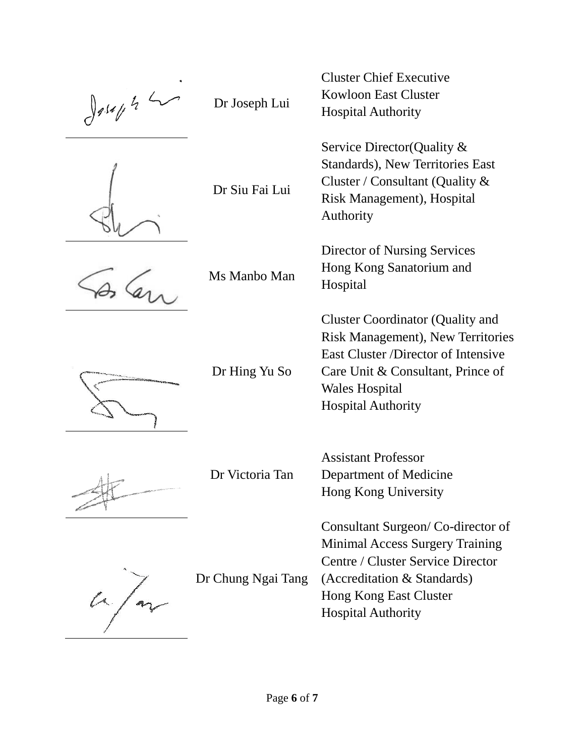$\int 9.14 f h^2$ 

Dr Joseph Lui



Dr Siu Fai Lui

Ms Manbo Man



Dr Hing Yu So

Dr Victoria Tan

Dr Chung Ngai Tang

Hospital Authority Service Director(Quality & Standards), New Territories East Cluster / Consultant (Quality & Risk Management), Hospital Authority

Cluster Chief Executive Kowloon East Cluster

Director of Nursing Services Hong Kong Sanatorium and Hospital

Cluster Coordinator (Quality and Risk Management), New Territories East Cluster /Director of Intensive Care Unit & Consultant, Prince of Wales Hospital Hospital Authority

Assistant Professor Department of Medicine Hong Kong University

Consultant Surgeon/ Co-director of Minimal Access Surgery Training Centre / Cluster Service Director (Accreditation & Standards) Hong Kong East Cluster Hospital Authority